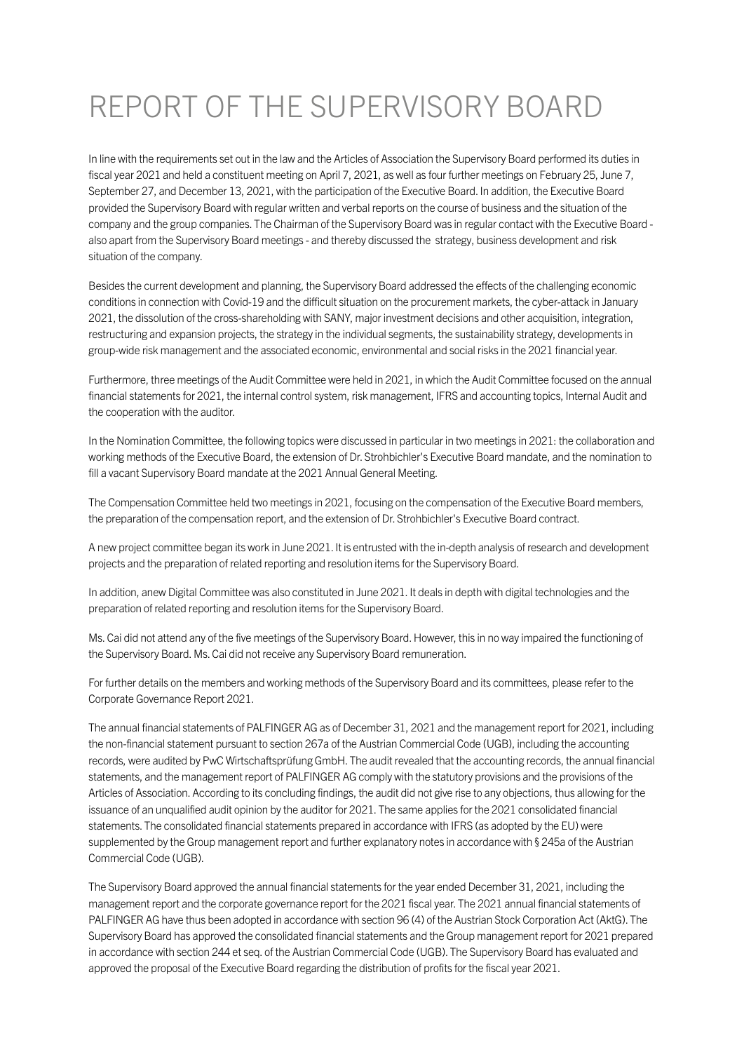## REPORT OF THE SUPERVISORY BOARD

In line with the requirements set out in the law and the Articles of Association the Supervisory Board performed its duties in fiscal year 2021 and held a constituent meeting on April 7, 2021, as well as four further meetings on February 25, June 7, September 27, and December 13, 2021, with the participation of the Executive Board. In addition, the Executive Board provided the Supervisory Board with regular written and verbal reports on the course of business and the situation of the company and the group companies. The Chairman of the Supervisory Board was in regular contact with the Executive Board also apart from the Supervisory Board meetings - and thereby discussed the strategy, business development and risk situation of the company.

Besides the current development and planning, the Supervisory Board addressed the effects of the challenging economic conditions in connection with Covid-19 and the difficult situation on the procurement markets, the cyber-attack in January 2021, the dissolution of the cross-shareholding with SANY, major investment decisions and other acquisition, integration, restructuring and expansion projects, the strategy in the individual segments, the sustainability strategy, developments in group-wide risk management and the associated economic, environmental and social risks in the 2021 financial year.

Furthermore, three meetings of the Audit Committee were held in 2021, in which the Audit Committee focused on the annual financial statements for 2021, the internal control system, risk management, IFRS and accounting topics, Internal Audit and the cooperation with the auditor.

In the Nomination Committee, the following topics were discussed in particular in two meetings in 2021: the collaboration and working methods of the Executive Board, the extension of Dr. Strohbichler's Executive Board mandate, and the nomination to fill a vacant Supervisory Board mandate at the 2021 Annual General Meeting.

The Compensation Committee held two meetings in 2021, focusing on the compensation of the Executive Board members, the preparation of the compensation report, and the extension of Dr. Strohbichler's Executive Board contract.

A new project committee began its work in June 2021. It is entrusted with the in-depth analysis of research and development projects and the preparation of related reporting and resolution items for the Supervisory Board.

In addition, anew Digital Committee was also constituted in June 2021. It deals in depth with digital technologies and the preparation of related reporting and resolution items for the Supervisory Board.

Ms. Cai did not attend any of the five meetings of the Supervisory Board. However, this in no way impaired the functioning of the Supervisory Board. Ms. Cai did not receive any Supervisory Board remuneration.

For further details on the members and working methods of the Supervisory Board and its committees, please refer to the Corporate Governance Report 2021.

The annual financial statements of PALFINGER AG as of December 31, 2021 and the management report for 2021, including the non-financial statement pursuant to section 267a of the Austrian Commercial Code (UGB), including the accounting records, were audited by PwC Wirtschaftsprüfung GmbH. The audit revealed that the accounting records, the annual financial statements, and the management report of PALFINGER AG comply with the statutory provisions and the provisions of the Articles of Association. According to its concluding findings, the audit did not give rise to any objections, thus allowing for the issuance of an unqualified audit opinion by the auditor for 2021. The same applies for the 2021 consolidated financial statements. The consolidated financial statements prepared in accordance with IFRS (as adopted by the EU) were supplemented by the Group management report and further explanatory notes in accordance with § 245a of the Austrian Commercial Code (UGB).

The Supervisory Board approved the annual financial statements for the year ended December 31, 2021, including the management report and the corporate governance report for the 2021 fiscal year. The 2021 annual financial statements of PALFINGER AG have thus been adopted in accordance with section 96 (4) of the Austrian Stock Corporation Act (AktG). The Supervisory Board has approved the consolidated financial statements and the Group management report for 2021 prepared in accordance with section 244 et seq. of the Austrian Commercial Code (UGB). The Supervisory Board has evaluated and approved the proposal of the Executive Board regarding the distribution of profits for the fiscal year 2021.